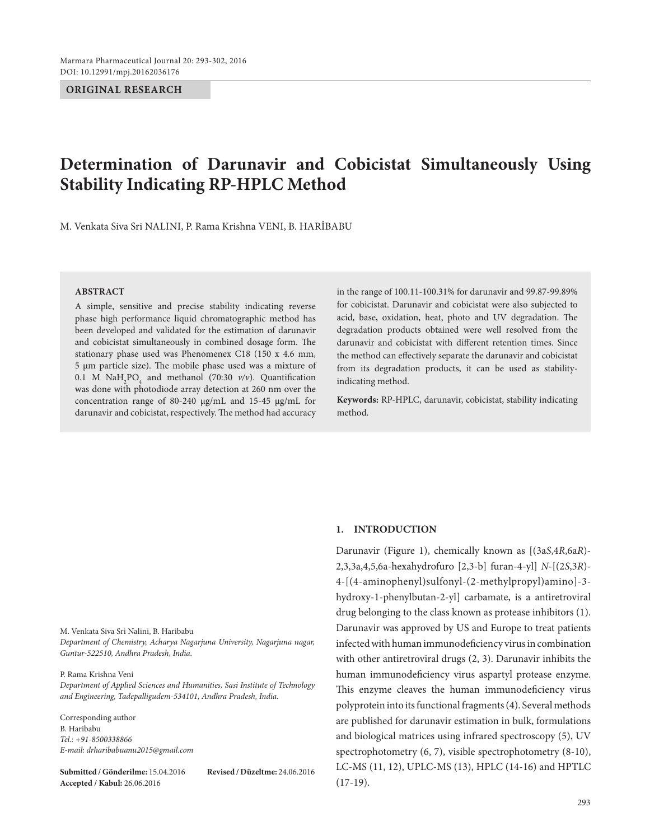#### **ORIGINAL RESEARCH**

# **Determination of Darunavir and Cobicistat Simultaneously Using Stability Indicating RP-HPLC Method**

M. Venkata Siva Sri NalInI, P. Rama Krishna VenI, B. Haribabu

#### **Abstract**

A simple, sensitive and precise stability indicating reverse phase high performance liquid chromatographic method has been developed and validated for the estimation of darunavir and cobicistat simultaneously in combined dosage form. The stationary phase used was Phenomenex C18 (150 x 4.6 mm, 5 µm particle size). The mobile phase used was a mixture of 0.1 M  $\text{NaH}_2\text{PO}_4$  and methanol (70:30  $v/v$ ). Quantification was done with photodiode array detection at 260 nm over the concentration range of 80-240 µg/mL and 15-45 µg/mL for darunavir and cobicistat, respectively. The method had accuracy

in the range of 100.11-100.31% for darunavir and 99.87-99.89% for cobicistat. Darunavir and cobicistat were also subjected to acid, base, oxidation, heat, photo and UV degradation. The degradation products obtained were well resolved from the darunavir and cobicistat with different retention times. Since the method can effectively separate the darunavir and cobicistat from its degradation products, it can be used as stabilityindicating method.

**Keywords:** RP-HPLC, darunavir, cobicistat, stability indicating method.

M. Venkata Siva Sri Nalini, B. Haribabu *Department of Chemistry, Acharya Nagarjuna University, Nagarjuna nagar, Guntur-522510, Andhra Pradesh, India.*

#### P. Rama Krishna Veni

*Department of Applied Sciences and Humanities, Sasi Institute of Technology and Engineering, Tadepalligudem-534101, Andhra Pradesh, India.*

Corresponding author B. Haribabu *Tel.: +91-8500338866 E-mail: drharibabuanu2015@gmail.com*

**Submitted / Gönderilme:** 15.04.2016 **Revised / Düzeltme:** 24.06.2016 **Accepted / Kabul:** 26.06.2016

# **1. INTRODUCTION**

Darunavir (Figure 1), chemically known as [(3a*S*,4*R*,6a*R*)- 2,3,3a,4,5,6a-hexahydrofuro [2,3-b] furan-4-yl] *N*-[(2*S*,3*R*)- 4-[(4-aminophenyl)sulfonyl-(2-methylpropyl)amino]-3 hydroxy-1-phenylbutan-2-yl] carbamate, is a antiretroviral drug belonging to the class known as protease inhibitors (1). Darunavir was approved by US and Europe to treat patients infected with human immunodeficiency virus in combination with other antiretroviral drugs (2, 3). Darunavir inhibits the human immunodeficiency virus aspartyl protease enzyme. This enzyme cleaves the human immunodeficiency virus polyprotein into its functional fragments (4). Several methods are published for darunavir estimation in bulk, formulations and biological matrices using infrared spectroscopy (5), UV spectrophotometry (6, 7), visible spectrophotometry (8-10), LC-MS (11, 12), UPLC-MS (13), HPLC (14-16) and HPTLC (17-19).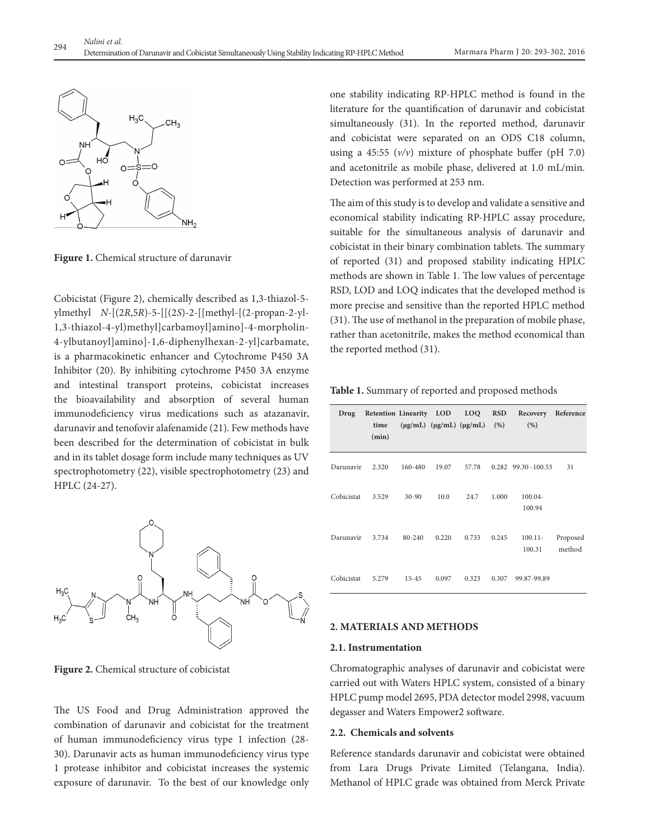

**Figure 1.** Chemical structure of darunavir

Cobicistat (Figure 2), chemically described as 1,3-thiazol-5 ylmethyl *N*-[(2*R*,5*R*)-5-[[(2*S*)-2-[[methyl-[(2-propan-2-yl-1,3-thiazol-4-yl)methyl]carbamoyl]amino]-4-morpholin-4-ylbutanoyl]amino]-1,6-diphenylhexan-2-yl]carbamate, is a pharmacokinetic enhancer and Cytochrome P450 3A Inhibitor (20). By inhibiting cytochrome P450 3A enzyme and intestinal transport proteins, cobicistat increases the bioavailability and absorption of several human immunodeficiency virus medications such as atazanavir, darunavir and tenofovir alafenamide (21). Few methods have been described for the determination of cobicistat in bulk and in its tablet dosage form include many techniques as UV spectrophotometry (22), visible spectrophotometry (23) and HPLC (24-27).



**Figure 2.** Chemical structure of cobicistat

The US Food and Drug Administration approved the combination of darunavir and cobicistat for the treatment of human immunodeficiency virus type 1 infection (28- 30). Darunavir acts as human immunodeficiency virus type 1 protease inhibitor and cobicistat increases the systemic exposure of darunavir. To the best of our knowledge only

one stability indicating RP-HPLC method is found in the literature for the quantification of darunavir and cobicistat simultaneously (31). In the reported method, darunavir and cobicistat were separated on an ODS C18 column, using a 45:55 (*v/v*) mixture of phosphate buffer (pH 7.0) and acetonitrile as mobile phase, delivered at 1.0 mL/min. Detection was performed at 253 nm.

The aim of this study is to develop and validate a sensitive and economical stability indicating RP-HPLC assay procedure, suitable for the simultaneous analysis of darunavir and cobicistat in their binary combination tablets. The summary of reported (31) and proposed stability indicating HPLC methods are shown in Table 1. The low values of percentage RSD, LOD and LOQ indicates that the developed method is more precise and sensitive than the reported HPLC method (31). The use of methanol in the preparation of mobile phase, rather than acetonitrile, makes the method economical than the reported method (31).

|  |  |  |  | <b>Table 1.</b> Summary of reported and proposed methods |
|--|--|--|--|----------------------------------------------------------|
|--|--|--|--|----------------------------------------------------------|

| Drug       | Retention Linearity LOD LOQ<br>time<br>(min) |            |       | $(\mu g/mL)$ $(\mu g/mL)$ $(\mu g/mL)$ | <b>RSD</b><br>(% ) | Recovery<br>(% )     | Reference          |
|------------|----------------------------------------------|------------|-------|----------------------------------------|--------------------|----------------------|--------------------|
| Darunavir  | 2.320                                        | 160-480    | 19.07 | 57.78                                  |                    | 0.282 99.30 -100.53  | 31                 |
| Cobicistat | 3.529                                        | $30 - 90$  | 10.0  | 24.7                                   | 1.000              | $100.04 -$<br>100.94 |                    |
| Darunavir  | 3.734                                        | $80 - 240$ | 0.220 | 0.733                                  | 0.245              | $100.11 -$<br>100.31 | Proposed<br>method |
| Cobicistat | 5.279                                        | $15 - 45$  | 0.097 | 0.323                                  | 0.307              | 99.87-99.89          |                    |

# **2. MATERIALS AND METHODS**

#### **2.1. Instrumentation**

Chromatographic analyses of darunavir and cobicistat were carried out with Waters HPLC system, consisted of a binary HPLC pump model 2695, PDA detector model 2998, vacuum degasser and Waters Empower2 software.

#### **2.2. Chemicals and solvents**

Reference standards darunavir and cobicistat were obtained from Lara Drugs Private Limited (Telangana, India). Methanol of HPLC grade was obtained from Merck Private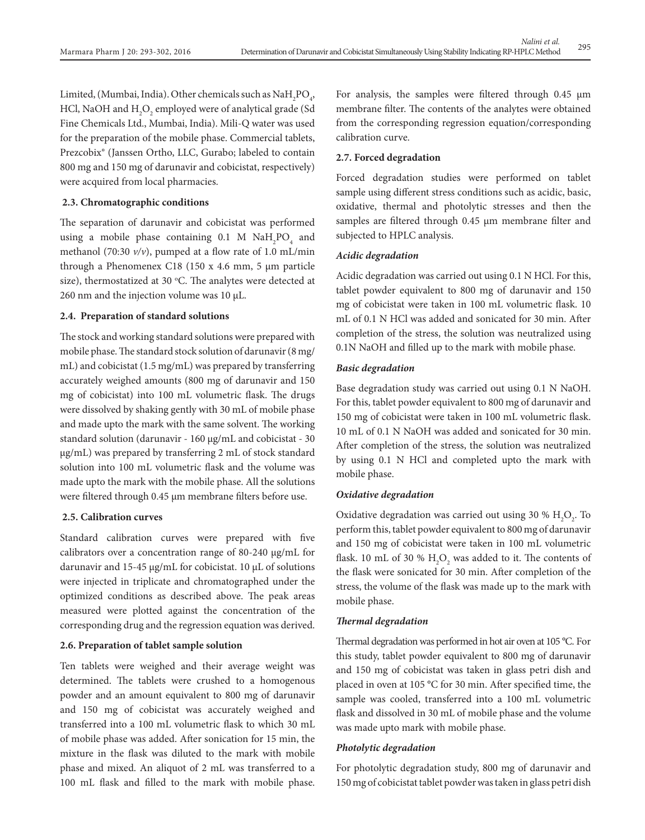Limited, (Mumbai, India). Other chemicals such as  $\text{NaH}_{2}\text{PO}_{4}$ , HCl, NaOH and  $\rm{H}_{2}\rm{O}_{2}$  employed were of analytical grade (Sd Fine Chemicals Ltd., Mumbai, India). Mili-Q water was used for the preparation of the mobile phase. Commercial tablets, Prezcobix® (Janssen Ortho, LLC, Gurabo; labeled to contain 800 mg and 150 mg of darunavir and cobicistat, respectively) were acquired from local pharmacies.

## **2.3. Chromatographic conditions**

The separation of darunavir and cobicistat was performed using a mobile phase containing  $0.1$  M  $\text{NaH}_2\text{PO}_4$  and methanol (70:30 *v/v*), pumped at a flow rate of 1.0 mL/min through a Phenomenex C18 (150 x 4.6 mm, 5 µm particle size), thermostatized at 30 °C. The analytes were detected at 260 nm and the injection volume was  $10 \mu L$ .

#### **2.4. Preparation of standard solutions**

The stock and working standard solutions were prepared with mobile phase. The standard stock solution of darunavir (8 mg/ mL) and cobicistat (1.5 mg/mL) was prepared by transferring accurately weighed amounts (800 mg of darunavir and 150 mg of cobicistat) into 100 mL volumetric flask. The drugs were dissolved by shaking gently with 30 mL of mobile phase and made upto the mark with the same solvent. The working standard solution (darunavir - 160 µg/mL and cobicistat - 30 µg/mL) was prepared by transferring 2 mL of stock standard solution into 100 mL volumetric flask and the volume was made upto the mark with the mobile phase. All the solutions were filtered through 0.45 µm membrane filters before use.

# **2.5. Calibration curves**

Standard calibration curves were prepared with five calibrators over a concentration range of 80-240 µg/mL for darunavir and 15-45 µg/mL for cobicistat. 10 µL of solutions were injected in triplicate and chromatographed under the optimized conditions as described above. The peak areas measured were plotted against the concentration of the corresponding drug and the regression equation was derived.

#### **2.6. Preparation of tablet sample solution**

Ten tablets were weighed and their average weight was determined. The tablets were crushed to a homogenous powder and an amount equivalent to 800 mg of darunavir and 150 mg of cobicistat was accurately weighed and transferred into a 100 mL volumetric flask to which 30 mL of mobile phase was added. After sonication for 15 min, the mixture in the flask was diluted to the mark with mobile phase and mixed. An aliquot of 2 mL was transferred to a 100 mL flask and filled to the mark with mobile phase.

For analysis, the samples were filtered through 0.45 µm membrane filter. The contents of the analytes were obtained from the corresponding regression equation/corresponding calibration curve.

# **2.7. Forced degradation**

Forced degradation studies were performed on tablet sample using different stress conditions such as acidic, basic, oxidative, thermal and photolytic stresses and then the samples are filtered through 0.45 µm membrane filter and subjected to HPLC analysis.

# *Acidic degradation*

Acidic degradation was carried out using 0.1 N HCl. For this, tablet powder equivalent to 800 mg of darunavir and 150 mg of cobicistat were taken in 100 mL volumetric flask. 10 mL of 0.1 N HCl was added and sonicated for 30 min. After completion of the stress, the solution was neutralized using 0.1N NaOH and filled up to the mark with mobile phase.

#### *Basic degradation*

Base degradation study was carried out using 0.1 N NaOH. For this, tablet powder equivalent to 800 mg of darunavir and 150 mg of cobicistat were taken in 100 mL volumetric flask. 10 mL of 0.1 N NaOH was added and sonicated for 30 min. After completion of the stress, the solution was neutralized by using 0.1 N HCl and completed upto the mark with mobile phase.

# *Oxidative degradation*

Oxidative degradation was carried out using 30 %  $H_2O_2$ . To perform this, tablet powder equivalent to 800 mg of darunavir and 150 mg of cobicistat were taken in 100 mL volumetric flask. 10 mL of 30 %  $H_2O_2$  was added to it. The contents of the flask were sonicated for 30 min. After completion of the stress, the volume of the flask was made up to the mark with mobile phase.

# *Thermal degradation*

Thermal degradation was performed in hot air oven at 105 °C. For this study, tablet powder equivalent to 800 mg of darunavir and 150 mg of cobicistat was taken in glass petri dish and placed in oven at 105 °C for 30 min. After specified time, the sample was cooled, transferred into a 100 mL volumetric flask and dissolved in 30 mL of mobile phase and the volume was made upto mark with mobile phase.

# *Photolytic degradation*

For photolytic degradation study, 800 mg of darunavir and 150 mg of cobicistat tablet powder was taken in glass petri dish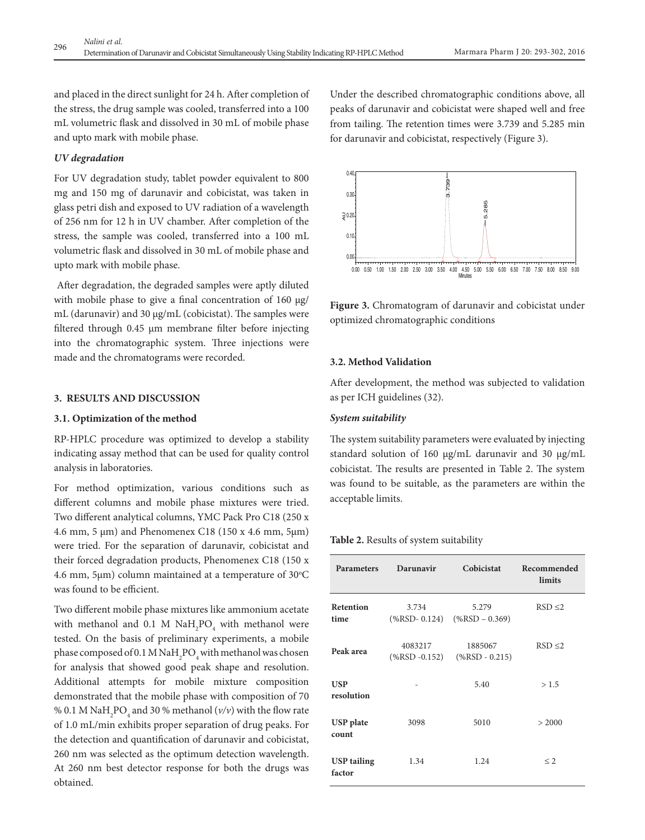and placed in the direct sunlight for 24 h. After completion of the stress, the drug sample was cooled, transferred into a 100 mL volumetric flask and dissolved in 30 mL of mobile phase and upto mark with mobile phase.

# *UV degradation*

For UV degradation study, tablet powder equivalent to 800 mg and 150 mg of darunavir and cobicistat, was taken in glass petri dish and exposed to UV radiation of a wavelength of 256 nm for 12 h in UV chamber. After completion of the stress, the sample was cooled, transferred into a 100 mL volumetric flask and dissolved in 30 mL of mobile phase and upto mark with mobile phase.

After degradation, the degraded samples were aptly diluted with mobile phase to give a final concentration of 160  $\mu$ g/ mL (darunavir) and 30 μg/mL (cobicistat). The samples were filtered through 0.45 µm membrane filter before injecting into the chromatographic system. Three injections were made and the chromatograms were recorded.

# **3. RESULTS AND DISCUSSION**

#### **3.1. Optimization of the method**

RP-HPLC procedure was optimized to develop a stability indicating assay method that can be used for quality control analysis in laboratories.

For method optimization, various conditions such as different columns and mobile phase mixtures were tried. Two different analytical columns, YMC Pack Pro C18 (250 x 4.6 mm, 5 µm) and Phenomenex C18 (150 x 4.6 mm, 5µm) were tried. For the separation of darunavir, cobicistat and their forced degradation products, Phenomenex C18 (150 x 4.6 mm, 5 $\mu$ m) column maintained at a temperature of 30°C was found to be efficient.

Two different mobile phase mixtures like ammonium acetate with methanol and  $0.1$  M  $\text{NaH}_2\text{PO}_4$  with methanol were tested. On the basis of preliminary experiments, a mobile phase composed of 0.1 M Na $\rm H_2PO_4$  with methanol was chosen for analysis that showed good peak shape and resolution. Additional attempts for mobile mixture composition demonstrated that the mobile phase with composition of 70 % 0.1 M  $\mathrm{NaH}_2\mathrm{PO}_4$  and 30 % methanol ( $\nu/\nu$ ) with the flow rate of 1.0 mL/min exhibits proper separation of drug peaks. For the detection and quantification of darunavir and cobicistat, 260 nm was selected as the optimum detection wavelength. At 260 nm best detector response for both the drugs was obtained.

Under the described chromatographic conditions above, all peaks of darunavir and cobicistat were shaped well and free from tailing. The retention times were 3.739 and 5.285 min for darunavir and cobicistat, respectively (Figure 3).



**Figure 3.** Chromatogram of darunavir and cobicistat under optimized chromatographic conditions

#### **3.2. Method Validation**

After development, the method was subjected to validation as per ICH guidelines (32).

#### *System suitability*

The system suitability parameters were evaluated by injecting standard solution of 160 µg/mL darunavir and 30 µg/mL cobicistat. The results are presented in Table 2. The system was found to be suitable, as the parameters are within the acceptable limits.

#### **Table 2.** Results of system suitability

| <b>Parameters</b>            | Darunavir                   | Cobicistat                                     | Recommended<br>limits |
|------------------------------|-----------------------------|------------------------------------------------|-----------------------|
| Retention<br>time            | 3.734<br>$(\% RSD - 0.124)$ | 5.279<br>$(\% RSD - 0.369)$                    | $RSD \leq 2$          |
| Peak area                    | 4083217                     | 1885067<br>$(\% RSD -0.152)$ $(\% RSD -0.215)$ | $RSD \leq 2$          |
| <b>USP</b><br>resolution     | ۰                           | 5.40                                           | >1.5                  |
| <b>USP</b> plate<br>count    | 3098                        | 5010                                           | > 2000                |
| <b>USP tailing</b><br>factor | 1.34                        | 1.24                                           | $\leq$ 2              |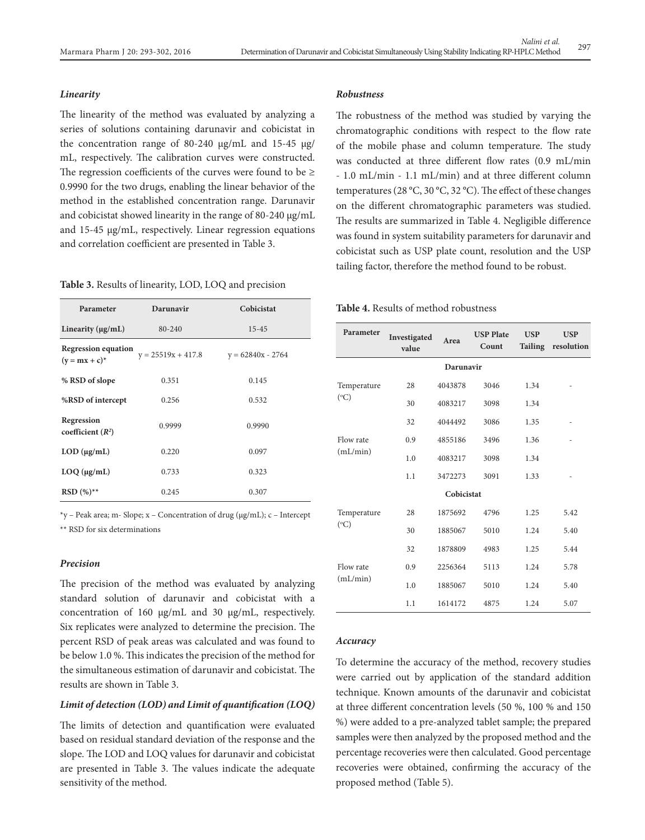#### *Linearity*

The linearity of the method was evaluated by analyzing a series of solutions containing darunavir and cobicistat in the concentration range of 80-240 µg/mL and 15-45 µg/ mL, respectively. The calibration curves were constructed. The regression coefficients of the curves were found to be  $\geq$ 0.9990 for the two drugs, enabling the linear behavior of the method in the established concentration range. Darunavir and cobicistat showed linearity in the range of 80-240 µg/mL and 15-45 µg/mL, respectively. Linear regression equations and correlation coefficient are presented in Table 3.

# **Table 3.** Results of linearity, LOD, LOQ and precision

| Parameter                                      | Darunavir            | Cobicistat          |
|------------------------------------------------|----------------------|---------------------|
| Linearity $(\mu g/mL)$                         | 80-240               | $15 - 45$           |
| <b>Regression equation</b><br>$(y = mx + c)^*$ | $y = 25519x + 417.8$ | $y = 62840x - 2764$ |
| % RSD of slope                                 | 0.351                | 0.145               |
| %RSD of intercept                              | 0.256                | 0.532               |
| Regression<br>coefficient $(R^2)$              | 0.9999               | 0.9990              |
| $LOD$ ( $\mu$ g/mL)                            | 0.220                | 0.097               |
| $LOQ$ ( $\mu$ g/mL)                            | 0.733                | 0.323               |
| RSD $(\%)^{**}$                                | 0.245                | 0.307               |

 $*_{y}$  – Peak area; m- Slope; x – Concentration of drug ( $\mu$ g/mL); c – Intercept \*\* RSD for six determinations

#### *Precision*

The precision of the method was evaluated by analyzing standard solution of darunavir and cobicistat with a concentration of 160 µg/mL and 30 µg/mL, respectively. Six replicates were analyzed to determine the precision. The percent RSD of peak areas was calculated and was found to be below 1.0 %. This indicates the precision of the method for the simultaneous estimation of darunavir and cobicistat. The results are shown in Table 3.

#### *Limit of detection (LOD) and Limit of quantification (LOQ)*

The limits of detection and quantification were evaluated based on residual standard deviation of the response and the slope. The LOD and LOQ values for darunavir and cobicistat are presented in Table 3. The values indicate the adequate sensitivity of the method.

## *Robustness*

The robustness of the method was studied by varying the chromatographic conditions with respect to the flow rate of the mobile phase and column temperature. The study was conducted at three different flow rates (0.9 mL/min - 1.0 mL/min - 1.1 mL/min) and at three different column temperatures (28 °C, 30 °C, 32 °C). The effect of these changes on the different chromatographic parameters was studied. The results are summarized in Table 4. Negligible difference was found in system suitability parameters for darunavir and cobicistat such as USP plate count, resolution and the USP tailing factor, therefore the method found to be robust.

#### **Table 4.** Results of method robustness

| Parameter       | Investigated<br>value | Area       | <b>USP Plate</b><br>Count | <b>USP</b><br><b>Tailing</b> | <b>USP</b><br>resolution |
|-----------------|-----------------------|------------|---------------------------|------------------------------|--------------------------|
|                 |                       | Darunavir  |                           |                              |                          |
| Temperature     | 28                    | 4043878    | 3046                      | 1.34                         |                          |
| $({}^{\circ}C)$ | 30                    | 4083217    | 3098                      | 1.34                         |                          |
|                 | 32                    | 4044492    | 3086                      | 1.35                         |                          |
| Flow rate       | 0.9                   | 4855186    | 3496                      | 1.36                         |                          |
| (mL/min)        | 1.0                   | 4083217    | 3098                      | 1.34                         |                          |
|                 | 1.1                   | 3472273    | 3091                      | 1.33                         |                          |
|                 |                       | Cobicistat |                           |                              |                          |
| Temperature     | 28                    | 1875692    | 4796                      | 1.25                         | 5.42                     |
| $({}^{\circ}C)$ | 30                    | 1885067    | 5010                      | 1.24                         | 5.40                     |
|                 | 32                    | 1878809    | 4983                      | 1.25                         | 5.44                     |
| Flow rate       | 0.9                   | 2256364    | 5113                      | 1.24                         | 5.78                     |
| (mL/min)        | 1.0                   | 1885067    | 5010                      | 1.24                         | 5.40                     |
|                 | 1.1                   | 1614172    | 4875                      | 1.24                         | 5.07                     |

#### *Accuracy*

To determine the accuracy of the method, recovery studies were carried out by application of the standard addition technique. Known amounts of the darunavir and cobicistat at three different concentration levels (50 %, 100 % and 150 %) were added to a pre-analyzed tablet sample; the prepared samples were then analyzed by the proposed method and the percentage recoveries were then calculated. Good percentage recoveries were obtained, confirming the accuracy of the proposed method (Table 5).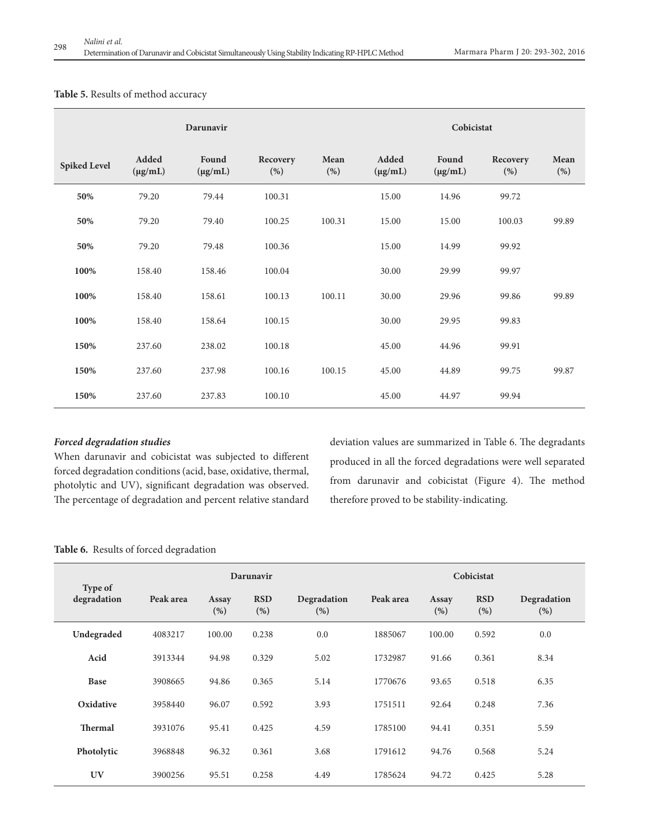|                     | Darunavir             | Cobicistat            |                  |             |                       |                       |                 |             |
|---------------------|-----------------------|-----------------------|------------------|-------------|-----------------------|-----------------------|-----------------|-------------|
| <b>Spiked Level</b> | Added<br>$(\mu g/mL)$ | Found<br>$(\mu g/mL)$ | Recovery<br>(% ) | Mean<br>(%) | Added<br>$(\mu g/mL)$ | Found<br>$(\mu g/mL)$ | Recovery<br>(%) | Mean<br>(%) |
| 50%                 | 79.20                 | 79.44                 | 100.31           |             | 15.00                 | 14.96                 | 99.72           |             |
| 50%                 | 79.20                 | 79.40                 | 100.25           | 100.31      | 15.00                 | 15.00                 | 100.03          | 99.89       |
| 50%                 | 79.20                 | 79.48                 | 100.36           |             | 15.00                 | 14.99                 | 99.92           |             |
| 100%                | 158.40                | 158.46                | 100.04           |             | 30.00                 | 29.99                 | 99.97           |             |
| 100%                | 158.40                | 158.61                | 100.13           | 100.11      | 30.00                 | 29.96                 | 99.86           | 99.89       |
| 100%                | 158.40                | 158.64                | 100.15           |             | 30.00                 | 29.95                 | 99.83           |             |
| 150%                | 237.60                | 238.02                | 100.18           |             | 45.00                 | 44.96                 | 99.91           |             |
| 150%                | 237.60                | 237.98                | 100.16           | 100.15      | 45.00                 | 44.89                 | 99.75           | 99.87       |
| 150%                | 237.60                | 237.83                | 100.10           |             | 45.00                 | 44.97                 | 99.94           |             |

# **Table 5.** Results of method accuracy

# *Forced degradation studies*

When darunavir and cobicistat was subjected to different forced degradation conditions (acid, base, oxidative, thermal, photolytic and UV), significant degradation was observed. The percentage of degradation and percent relative standard deviation values are summarized in Table 6. The degradants produced in all the forced degradations were well separated from darunavir and cobicistat (Figure 4). The method therefore proved to be stability-indicating.

# **Table 6.** Results of forced degradation

|                        | <b>Darunavir</b> |               |                    |                    | Cobicistat |               |                    |                    |
|------------------------|------------------|---------------|--------------------|--------------------|------------|---------------|--------------------|--------------------|
| Type of<br>degradation | Peak area        | Assay<br>(% ) | <b>RSD</b><br>(% ) | Degradation<br>(%) | Peak area  | Assay<br>(% ) | <b>RSD</b><br>(% ) | Degradation<br>(%) |
| Undegraded             | 4083217          | 100.00        | 0.238              | 0.0                | 1885067    | 100.00        | 0.592              | 0.0                |
| Acid                   | 3913344          | 94.98         | 0.329              | 5.02               | 1732987    | 91.66         | 0.361              | 8.34               |
| Base                   | 3908665          | 94.86         | 0.365              | 5.14               | 1770676    | 93.65         | 0.518              | 6.35               |
| Oxidative              | 3958440          | 96.07         | 0.592              | 3.93               | 1751511    | 92.64         | 0.248              | 7.36               |
| <b>Thermal</b>         | 3931076          | 95.41         | 0.425              | 4.59               | 1785100    | 94.41         | 0.351              | 5.59               |
| Photolytic             | 3968848          | 96.32         | 0.361              | 3.68               | 1791612    | 94.76         | 0.568              | 5.24               |
| <b>UV</b>              | 3900256          | 95.51         | 0.258              | 4.49               | 1785624    | 94.72         | 0.425              | 5.28               |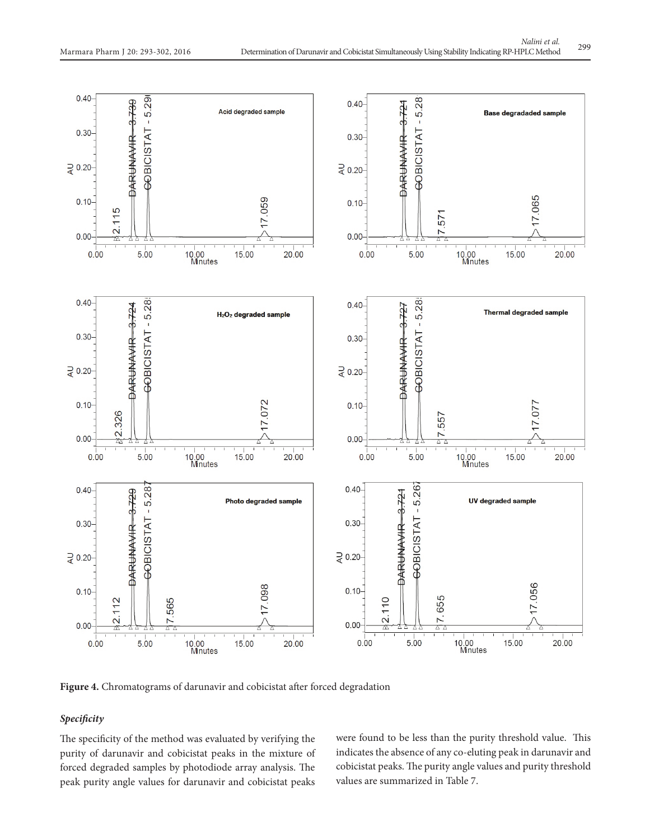

**Figure 4.** Chromatograms of darunavir and cobicistat after forced degradation

# *Specificity*

The specificity of the method was evaluated by verifying the purity of darunavir and cobicistat peaks in the mixture of forced degraded samples by photodiode array analysis. The peak purity angle values for darunavir and cobicistat peaks were found to be less than the purity threshold value. This indicates the absence of any co-eluting peak in darunavir and cobicistat peaks. The purity angle values and purity threshold values are summarized in Table 7.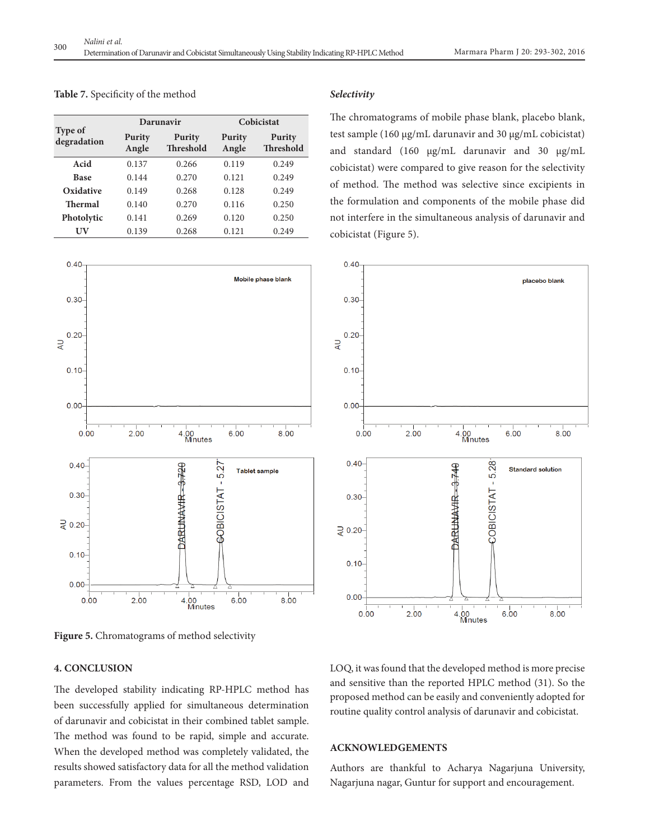|                        |                 | Darunavir                  | Cobicistat      |                            |  |  |
|------------------------|-----------------|----------------------------|-----------------|----------------------------|--|--|
| Type of<br>degradation | Purity<br>Angle | Purity<br><b>Threshold</b> | Purity<br>Angle | Purity<br><b>Threshold</b> |  |  |
| Acid                   | 0.137           | 0.266                      | 0.119           | 0.249                      |  |  |
| <b>Base</b>            | 0.144           | 0.270                      | 0.121           | 0.249                      |  |  |
| Oxidative              | 0.149           | 0.268                      | 0.128           | 0.249                      |  |  |
| Thermal                | 0.140           | 0.270                      | 0.116           | 0.250                      |  |  |
| Photolytic             | 0.141           | 0.269                      | 0.120           | 0.250                      |  |  |
| UV                     | 0.139           | 0.268                      | 0.121           | 0.249                      |  |  |

![](_page_7_Figure_4.jpeg)

**Figure 5.** Chromatograms of method selectivity

# **4. CONCLUSION**

The developed stability indicating RP-HPLC method has been successfully applied for simultaneous determination of darunavir and cobicistat in their combined tablet sample. The method was found to be rapid, simple and accurate. When the developed method was completely validated, the results showed satisfactory data for all the method validation parameters. From the values percentage RSD, LOD and

# *Selectivity*

The chromatograms of mobile phase blank, placebo blank, test sample (160 µg/mL darunavir and 30 µg/mL cobicistat) and standard (160 µg/mL darunavir and 30 µg/mL cobicistat) were compared to give reason for the selectivity of method. The method was selective since excipients in the formulation and components of the mobile phase did not interfere in the simultaneous analysis of darunavir and cobicistat (Figure 5).

![](_page_7_Figure_10.jpeg)

LOQ, it was found that the developed method is more precise and sensitive than the reported HPLC method (31). So the proposed method can be easily and conveniently adopted for routine quality control analysis of darunavir and cobicistat.

#### **ACKNOWLEDGEMENTS**

Authors are thankful to Acharya Nagarjuna University, Nagarjuna nagar, Guntur for support and encouragement.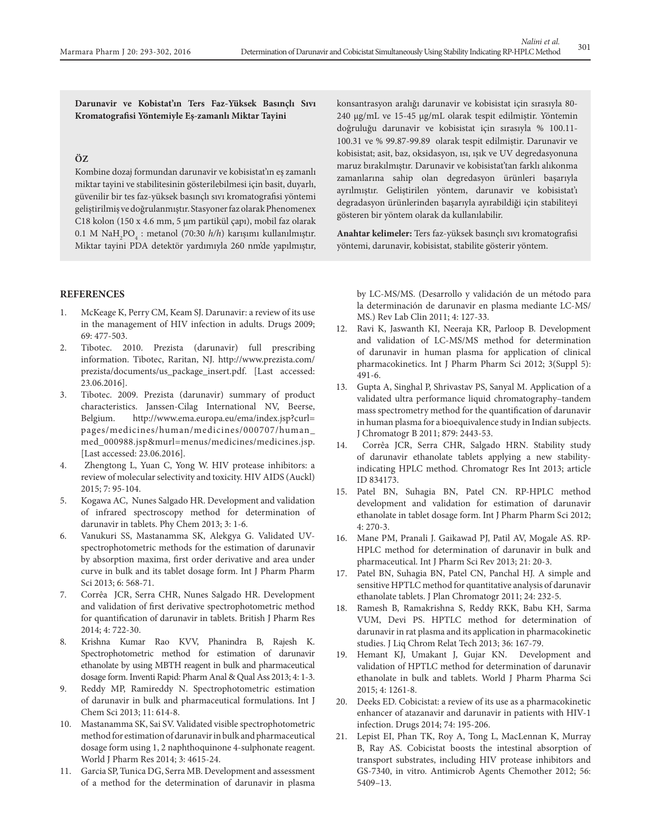**Darunavir ve Kobistat'ın Ters Faz-Yüksek Basınçlı Sıvı Kromatografisi Yöntemiyle Eş-zamanlı Miktar Tayini**

# **Öz**

Kombine dozaj formundan darunavir ve kobisistat'ın eş zamanlı miktar tayini ve stabilitesinin gösterilebilmesi için basit, duyarlı, güvenilir bir tes faz-yüksek basınçlı sıvı kromatografisi yöntemi geliştirilmiş ve doğrulanmıştır. Stasyoner faz olarak Phenomenex C18 kolon (150 x 4.6 mm, 5 µm partikül çapı), mobil faz olarak  $0.1 \text{ M } \text{NaH}_2\text{PO}_4: \text{metanol } (70:30 \text{ } h/h) \text{ karişımı kullanılmıştır.}$ Miktar tayini PDA detektör yardımıyla 260 nm'de yapılmıştır,

# **REFERENCES**

- 1. McKeage K, Perry CM, Keam SJ. Darunavir: a review of its use in the management of HIV infection in adults. Drugs 2009; 69: 477-503.
- 2. Tibotec. 2010. Prezista (darunavir) full prescribing information. Tibotec, Raritan, NJ. http://www.prezista.com/ prezista/documents/us\_package\_insert.pdf. [Last accessed: 23.06.2016].
- 3. Tibotec. 2009. Prezista (darunavir) summary of product characteristics. Janssen-Cilag International NV, Beerse, Belgium. http://www.ema.europa.eu/ema/index.jsp?curl= pages/medicines/human/medicines/000707/human\_ med\_000988.jsp&murl=menus/medicines/medicines.jsp. [Last accessed: 23.06.2016].
- 4. Zhengtong L, Yuan C, Yong W. HIV protease inhibitors: a review of molecular selectivity and toxicity. HIV AIDS (Auckl) 2015; 7: 95-104.
- 5. Kogawa AC, Nunes Salgado HR. Development and validation of infrared spectroscopy method for determination of darunavir in tablets. Phy Chem 2013; 3: 1-6.
- 6. Vanukuri SS, Mastanamma SK, Alekgya G. Validated UVspectrophotometric methods for the estimation of darunavir by absorption maxima, first order derivative and area under curve in bulk and its tablet dosage form. Int J Pharm Pharm Sci 2013; 6: 568-71.
- 7. Corrêa JCR, Serra CHR, Nunes Salgado HR. Development and validation of first derivative spectrophotometric method for quantification of darunavir in tablets. British J Pharm Res 2014; 4: 722-30.
- 8. Krishna Kumar Rao KVV, Phanindra B, Rajesh K. Spectrophotometric method for estimation of darunavir ethanolate by using MBTH reagent in bulk and pharmaceutical dosage form. Inventi Rapid: Pharm Anal & Qual Ass 2013; 4: 1-3.
- Reddy MP, Ramireddy N. Spectrophotometric estimation of darunavir in bulk and pharmaceutical formulations. Int J Chem Sci 2013; 11: 614-8.
- 10. Mastanamma SK, Sai SV. Validated visible spectrophotometric method for estimation of darunavir in bulk and pharmaceutical dosage form using 1, 2 naphthoquinone 4-sulphonate reagent. World J Pharm Res 2014; 3: 4615-24.
- 11. Garcia SP, Tunica DG, Serra MB. Development and assessment of a method for the determination of darunavir in plasma

konsantrasyon aralığı darunavir ve kobisistat için sırasıyla 80- 240 µg/mL ve 15-45 µg/mL olarak tespit edilmiştir. Yöntemin doğruluğu darunavir ve kobisistat için sırasıyla % 100.11- 100.31 ve % 99.87-99.89 olarak tespit edilmiştir. Darunavir ve kobisistat; asit, baz, oksidasyon, ısı, ışık ve UV degredasyonuna maruz bırakılmıştır. Darunavir ve kobisistat'tan farklı alıkonma zamanlarına sahip olan degredasyon ürünleri başarıyla ayrılmıştır. Geliştirilen yöntem, darunavir ve kobisistat'ı degradasyon ürünlerinden başarıyla ayırabildiği için stabiliteyi gösteren bir yöntem olarak da kullanılabilir.

**Anahtar kelimeler:** Ters faz-yüksek basınçlı sıvı kromatografisi yöntemi, darunavir, kobisistat, stabilite gösterir yöntem.

by LC-MS/MS. (Desarrollo y validación de un método para la determinación de darunavir en plasma mediante LC-MS/ MS.) Rev Lab Clin 2011; 4: 127-33.

- 12. Ravi K, Jaswanth KI, Neeraja KR, Parloop B. Development and validation of LC-MS/MS method for determination of darunavir in human plasma for application of clinical pharmacokinetics. Int J Pharm Pharm Sci 2012; 3(Suppl 5): 491-6.
- 13. Gupta A, Singhal P, Shrivastav PS, Sanyal M. Application of a validated ultra performance liquid chromatography–tandem mass spectrometry method for the quantification of darunavir in human plasma for a bioequivalence study in Indian subjects. J Chromatogr B 2011; 879: 2443-53.
- 14. Corrêa JCR, Serra CHR, Salgado HRN. Stability study of darunavir ethanolate tablets applying a new stabilityindicating HPLC method. Chromatogr Res Int 2013; article ID 834173.
- 15. Patel BN, Suhagia BN, Patel CN. RP-HPLC method development and validation for estimation of darunavir ethanolate in tablet dosage form. Int J Pharm Pharm Sci 2012; 4: 270-3.
- 16. Mane PM, Pranali J. Gaikawad PJ, Patil AV, Mogale AS. RP-HPLC method for determination of darunavir in bulk and pharmaceutical. Int J Pharm Sci Rev 2013; 21: 20-3.
- 17. Patel BN, Suhagia BN, Patel CN, Panchal HJ. A simple and sensitive HPTLC method for quantitative analysis of darunavir ethanolate tablets. J Plan Chromatogr 2011; 24: 232-5.
- 18. Ramesh B, Ramakrishna S, Reddy RKK, Babu KH, Sarma VUM, Devi PS. HPTLC method for determination of darunavir in rat plasma and its application in pharmacokinetic studies. J Liq Chrom Relat Tech 2013; 36: 167-79.
- 19. Hemant KJ, Umakant J, Gujar KN. Development and validation of HPTLC method for determination of darunavir ethanolate in bulk and tablets. World J Pharm Pharma Sci 2015; 4: 1261-8.
- 20. Deeks ED. Cobicistat: a review of its use as a pharmacokinetic enhancer of atazanavir and darunavir in patients with HIV-1 infection. Drugs 2014; 74: 195-206.
- 21. Lepist EI, Phan TK, Roy A, Tong L, MacLennan K, Murray B, Ray AS. Cobicistat boosts the intestinal absorption of transport substrates, including HIV protease inhibitors and GS-7340, in vitro. Antimicrob Agents Chemother 2012; 56: 5409–13.